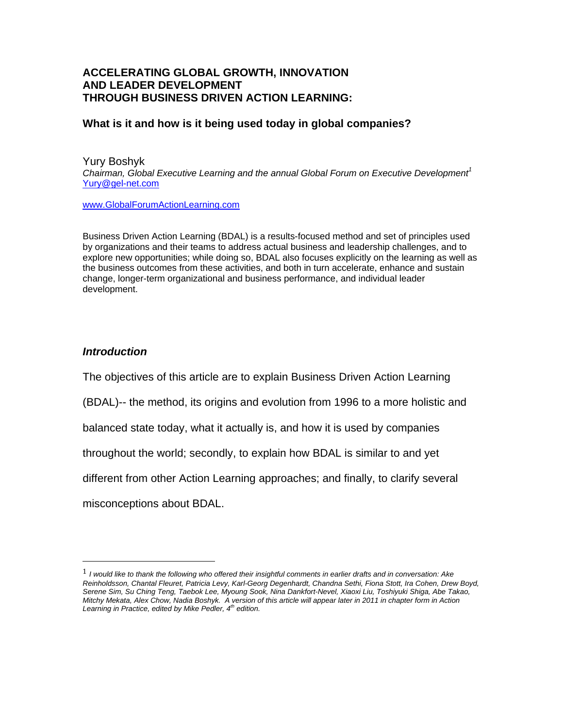# **ACCELERATING GLOBAL GROWTH, INNOVATION AND LEADER DEVELOPMENT THROUGH BUSINESS DRIVEN ACTION LEARNING:**

# **What is it and how is it being used today in global companies?**

Yury Boshyk *Chairman, Global Executive Learning and the annual Global Forum on Executive Development<sup>1</sup>*  Yury@gel-net.com

www.GlobalForumActionLearning.com

Business Driven Action Learning (BDAL) is a results-focused method and set of principles used by organizations and their teams to address actual business and leadership challenges, and to explore new opportunities; while doing so, BDAL also focuses explicitly on the learning as well as the business outcomes from these activities, and both in turn accelerate, enhance and sustain change, longer-term organizational and business performance, and individual leader development.

### *Introduction*

The objectives of this article are to explain Business Driven Action Learning

(BDAL)-- the method, its origins and evolution from 1996 to a more holistic and

balanced state today, what it actually is, and how it is used by companies

throughout the world; secondly, to explain how BDAL is similar to and yet

different from other Action Learning approaches; and finally, to clarify several

misconceptions about BDAL.

<sup>1</sup> *I would like to thank the following who offered their insightful comments in earlier drafts and in conversation: Ake Reinholdsson, Chantal Fleuret, Patricia Levy, Karl-Georg Degenhardt, Chandna Sethi, Fiona Stott, Ira Cohen, Drew Boyd, Serene Sim, Su Ching Teng, Taebok Lee, Myoung Sook, Nina Dankfort-Nevel, Xiaoxi Liu, Toshiyuki Shiga, Abe Takao, Mitchy Mekata, Alex Chow, Nadia Boshyk. A version of this article will appear later in 2011 in chapter form in Action Learning in Practice, edited by Mike Pedler, 4th edition.*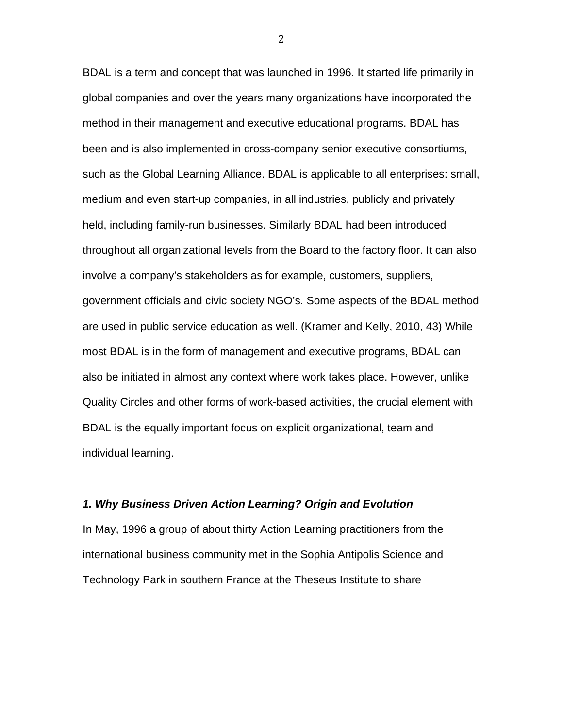BDAL is a term and concept that was launched in 1996. It started life primarily in global companies and over the years many organizations have incorporated the method in their management and executive educational programs. BDAL has been and is also implemented in cross-company senior executive consortiums, such as the Global Learning Alliance. BDAL is applicable to all enterprises: small, medium and even start-up companies, in all industries, publicly and privately held, including family-run businesses. Similarly BDAL had been introduced throughout all organizational levels from the Board to the factory floor. It can also involve a company's stakeholders as for example, customers, suppliers, government officials and civic society NGO's. Some aspects of the BDAL method are used in public service education as well. (Kramer and Kelly, 2010, 43) While most BDAL is in the form of management and executive programs, BDAL can also be initiated in almost any context where work takes place. However, unlike Quality Circles and other forms of work-based activities, the crucial element with BDAL is the equally important focus on explicit organizational, team and individual learning.

#### *1. Why Business Driven Action Learning? Origin and Evolution*

In May, 1996 a group of about thirty Action Learning practitioners from the international business community met in the Sophia Antipolis Science and Technology Park in southern France at the Theseus Institute to share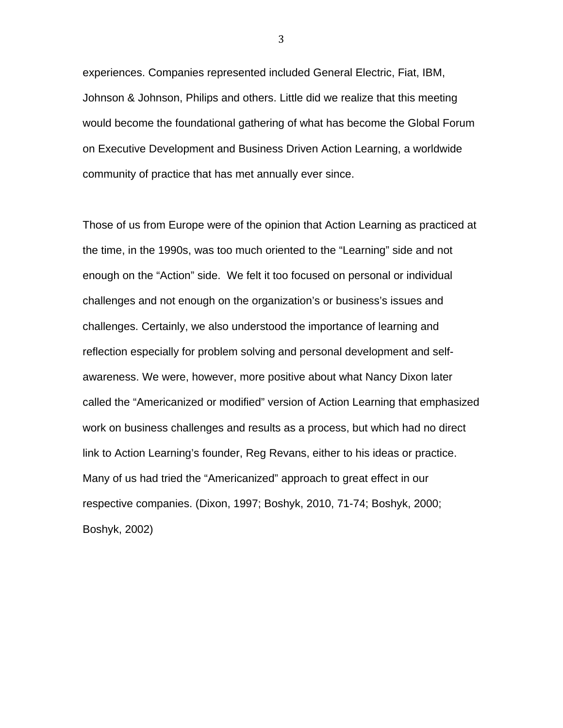experiences. Companies represented included General Electric, Fiat, IBM, Johnson & Johnson, Philips and others. Little did we realize that this meeting would become the foundational gathering of what has become the Global Forum on Executive Development and Business Driven Action Learning, a worldwide community of practice that has met annually ever since.

Those of us from Europe were of the opinion that Action Learning as practiced at the time, in the 1990s, was too much oriented to the "Learning" side and not enough on the "Action" side. We felt it too focused on personal or individual challenges and not enough on the organization's or business's issues and challenges. Certainly, we also understood the importance of learning and reflection especially for problem solving and personal development and selfawareness. We were, however, more positive about what Nancy Dixon later called the "Americanized or modified" version of Action Learning that emphasized work on business challenges and results as a process, but which had no direct link to Action Learning's founder, Reg Revans, either to his ideas or practice. Many of us had tried the "Americanized" approach to great effect in our respective companies. (Dixon, 1997; Boshyk, 2010, 71-74; Boshyk, 2000; Boshyk, 2002)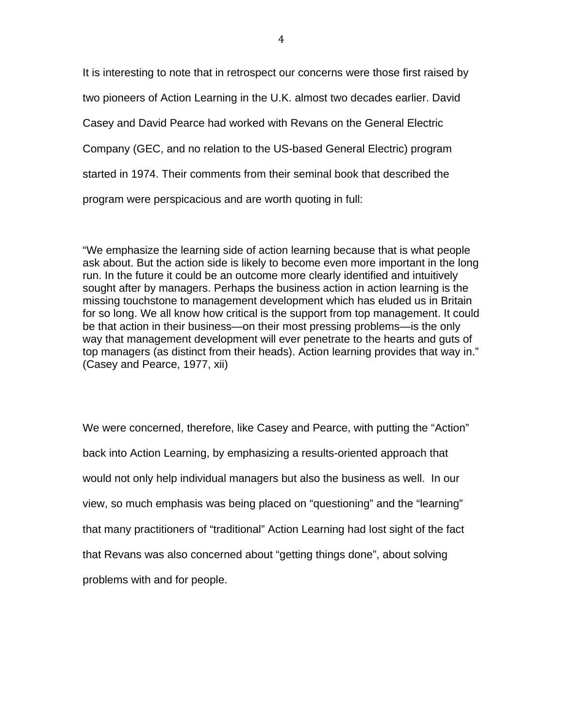It is interesting to note that in retrospect our concerns were those first raised by two pioneers of Action Learning in the U.K. almost two decades earlier. David Casey and David Pearce had worked with Revans on the General Electric Company (GEC, and no relation to the US-based General Electric) program started in 1974. Their comments from their seminal book that described the program were perspicacious and are worth quoting in full:

"We emphasize the learning side of action learning because that is what people ask about. But the action side is likely to become even more important in the long run. In the future it could be an outcome more clearly identified and intuitively sought after by managers. Perhaps the business action in action learning is the missing touchstone to management development which has eluded us in Britain for so long. We all know how critical is the support from top management. It could be that action in their business—on their most pressing problems—is the only way that management development will ever penetrate to the hearts and guts of top managers (as distinct from their heads). Action learning provides that way in." (Casey and Pearce, 1977, xii)

We were concerned, therefore, like Casey and Pearce, with putting the "Action" back into Action Learning, by emphasizing a results-oriented approach that would not only help individual managers but also the business as well. In our view, so much emphasis was being placed on "questioning" and the "learning" that many practitioners of "traditional" Action Learning had lost sight of the fact that Revans was also concerned about "getting things done", about solving problems with and for people.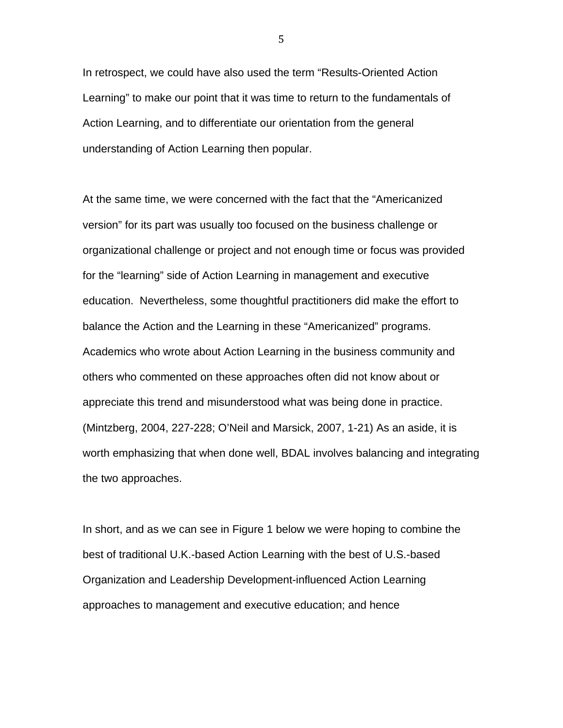In retrospect, we could have also used the term "Results-Oriented Action Learning" to make our point that it was time to return to the fundamentals of Action Learning, and to differentiate our orientation from the general understanding of Action Learning then popular.

At the same time, we were concerned with the fact that the "Americanized version" for its part was usually too focused on the business challenge or organizational challenge or project and not enough time or focus was provided for the "learning" side of Action Learning in management and executive education. Nevertheless, some thoughtful practitioners did make the effort to balance the Action and the Learning in these "Americanized" programs. Academics who wrote about Action Learning in the business community and others who commented on these approaches often did not know about or appreciate this trend and misunderstood what was being done in practice. (Mintzberg, 2004, 227-228; O'Neil and Marsick, 2007, 1-21) As an aside, it is worth emphasizing that when done well, BDAL involves balancing and integrating the two approaches.

In short, and as we can see in Figure 1 below we were hoping to combine the best of traditional U.K.-based Action Learning with the best of U.S.-based Organization and Leadership Development-influenced Action Learning approaches to management and executive education; and hence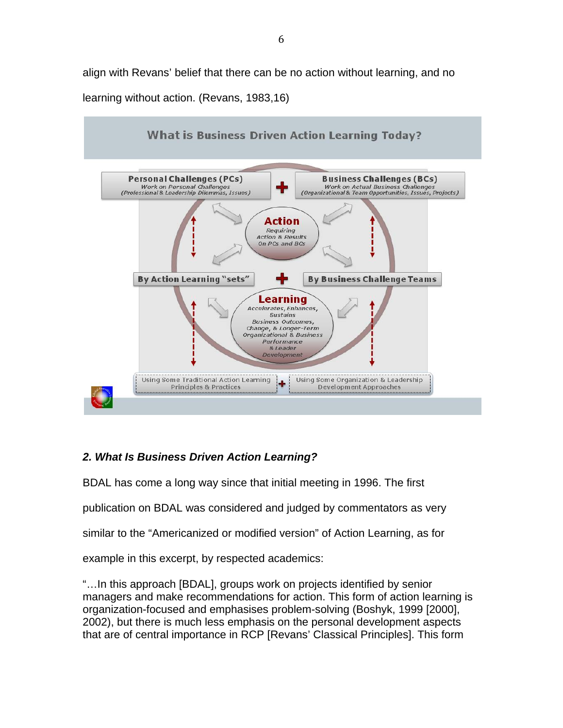align with Revans' belief that there can be no action without learning, and no learning without action. (Revans, 1983,16)



# *2. What Is Business Driven Action Learning?*

BDAL has come a long way since that initial meeting in 1996. The first

publication on BDAL was considered and judged by commentators as very

similar to the "Americanized or modified version" of Action Learning, as for

example in this excerpt, by respected academics:

"…In this approach [BDAL], groups work on projects identified by senior managers and make recommendations for action. This form of action learning is organization-focused and emphasises problem-solving (Boshyk, 1999 [2000], 2002), but there is much less emphasis on the personal development aspects that are of central importance in RCP [Revans' Classical Principles]. This form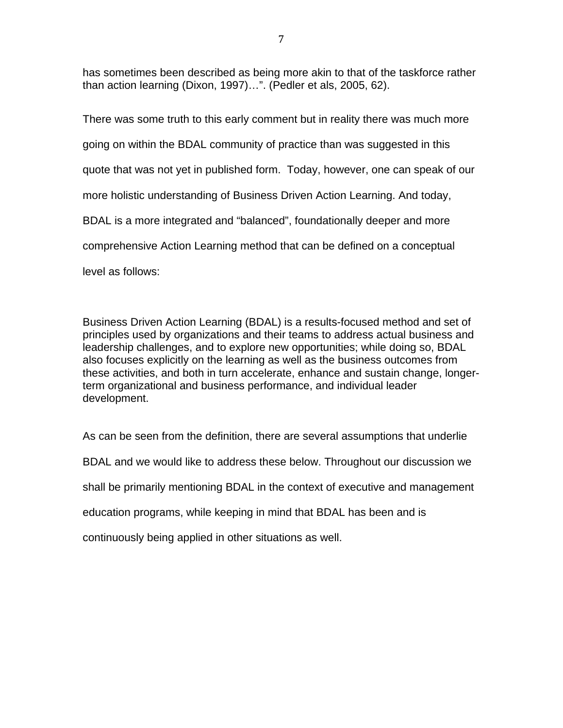has sometimes been described as being more akin to that of the taskforce rather than action learning (Dixon, 1997)…". (Pedler et als, 2005, 62).

There was some truth to this early comment but in reality there was much more going on within the BDAL community of practice than was suggested in this quote that was not yet in published form. Today, however, one can speak of our more holistic understanding of Business Driven Action Learning. And today, BDAL is a more integrated and "balanced", foundationally deeper and more comprehensive Action Learning method that can be defined on a conceptual level as follows:

Business Driven Action Learning (BDAL) is a results-focused method and set of principles used by organizations and their teams to address actual business and leadership challenges, and to explore new opportunities; while doing so, BDAL also focuses explicitly on the learning as well as the business outcomes from these activities, and both in turn accelerate, enhance and sustain change, longerterm organizational and business performance, and individual leader development.

As can be seen from the definition, there are several assumptions that underlie BDAL and we would like to address these below. Throughout our discussion we shall be primarily mentioning BDAL in the context of executive and management education programs, while keeping in mind that BDAL has been and is continuously being applied in other situations as well.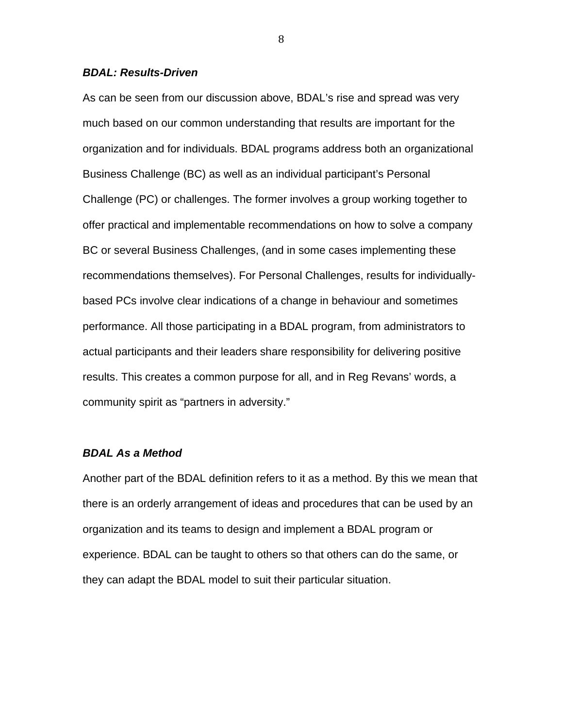#### *BDAL: Results-Driven*

As can be seen from our discussion above, BDAL's rise and spread was very much based on our common understanding that results are important for the organization and for individuals. BDAL programs address both an organizational Business Challenge (BC) as well as an individual participant's Personal Challenge (PC) or challenges. The former involves a group working together to offer practical and implementable recommendations on how to solve a company BC or several Business Challenges, (and in some cases implementing these recommendations themselves). For Personal Challenges, results for individuallybased PCs involve clear indications of a change in behaviour and sometimes performance. All those participating in a BDAL program, from administrators to actual participants and their leaders share responsibility for delivering positive results. This creates a common purpose for all, and in Reg Revans' words, a community spirit as "partners in adversity."

#### *BDAL As a Method*

Another part of the BDAL definition refers to it as a method. By this we mean that there is an orderly arrangement of ideas and procedures that can be used by an organization and its teams to design and implement a BDAL program or experience. BDAL can be taught to others so that others can do the same, or they can adapt the BDAL model to suit their particular situation.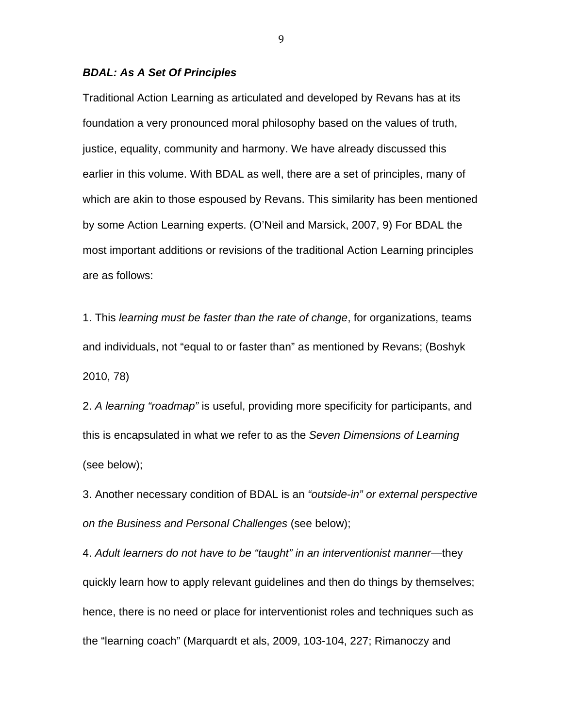#### *BDAL: As A Set Of Principles*

Traditional Action Learning as articulated and developed by Revans has at its foundation a very pronounced moral philosophy based on the values of truth, justice, equality, community and harmony. We have already discussed this earlier in this volume. With BDAL as well, there are a set of principles, many of which are akin to those espoused by Revans. This similarity has been mentioned by some Action Learning experts. (O'Neil and Marsick, 2007, 9) For BDAL the most important additions or revisions of the traditional Action Learning principles are as follows:

1. This *learning must be faster than the rate of change*, for organizations, teams and individuals, not "equal to or faster than" as mentioned by Revans; (Boshyk 2010, 78)

2. *A learning "roadmap"* is useful, providing more specificity for participants, and this is encapsulated in what we refer to as the *Seven Dimensions of Learning* (see below);

3. Another necessary condition of BDAL is an *"outside-in" or external perspective on the Business and Personal Challenges* (see below);

4. *Adult learners do not have to be "taught" in an interventionist manner*—they quickly learn how to apply relevant guidelines and then do things by themselves; hence, there is no need or place for interventionist roles and techniques such as the "learning coach" (Marquardt et als, 2009, 103-104, 227; Rimanoczy and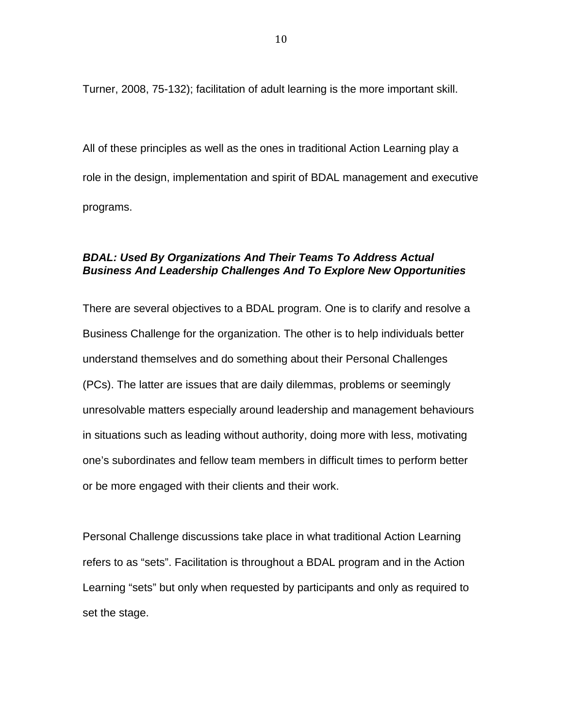Turner, 2008, 75-132); facilitation of adult learning is the more important skill.

All of these principles as well as the ones in traditional Action Learning play a role in the design, implementation and spirit of BDAL management and executive programs.

# *BDAL: Used By Organizations And Their Teams To Address Actual Business And Leadership Challenges And To Explore New Opportunities*

There are several objectives to a BDAL program. One is to clarify and resolve a Business Challenge for the organization. The other is to help individuals better understand themselves and do something about their Personal Challenges (PCs). The latter are issues that are daily dilemmas, problems or seemingly unresolvable matters especially around leadership and management behaviours in situations such as leading without authority, doing more with less, motivating one's subordinates and fellow team members in difficult times to perform better or be more engaged with their clients and their work.

Personal Challenge discussions take place in what traditional Action Learning refers to as "sets". Facilitation is throughout a BDAL program and in the Action Learning "sets" but only when requested by participants and only as required to set the stage.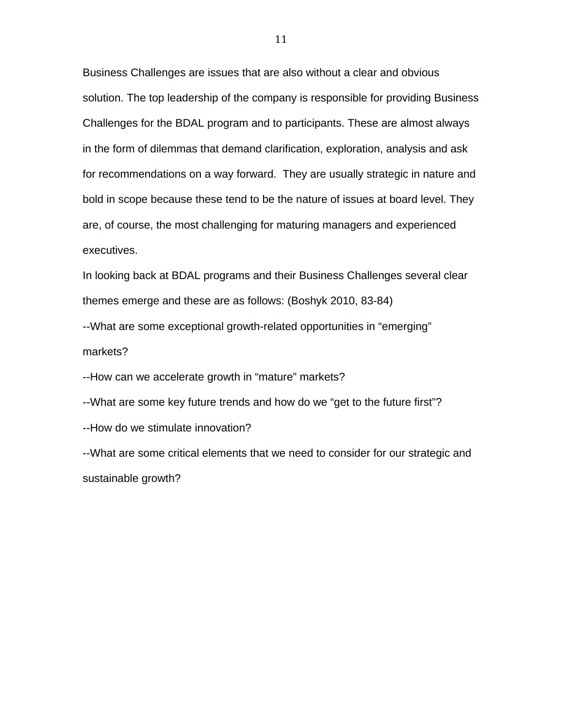Business Challenges are issues that are also without a clear and obvious solution. The top leadership of the company is responsible for providing Business Challenges for the BDAL program and to participants. These are almost always in the form of dilemmas that demand clarification, exploration, analysis and ask for recommendations on a way forward. They are usually strategic in nature and bold in scope because these tend to be the nature of issues at board level. They are, of course, the most challenging for maturing managers and experienced executives.

In looking back at BDAL programs and their Business Challenges several clear themes emerge and these are as follows: (Boshyk 2010, 83-84)

--What are some exceptional growth-related opportunities in "emerging" markets?

--How can we accelerate growth in "mature" markets?

--What are some key future trends and how do we "get to the future first"?

--How do we stimulate innovation?

--What are some critical elements that we need to consider for our strategic and sustainable growth?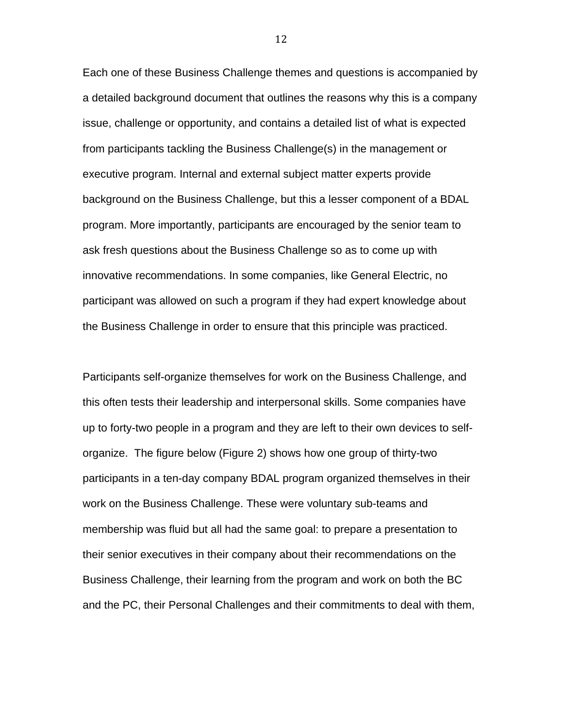Each one of these Business Challenge themes and questions is accompanied by a detailed background document that outlines the reasons why this is a company issue, challenge or opportunity, and contains a detailed list of what is expected from participants tackling the Business Challenge(s) in the management or executive program. Internal and external subject matter experts provide background on the Business Challenge, but this a lesser component of a BDAL program. More importantly, participants are encouraged by the senior team to ask fresh questions about the Business Challenge so as to come up with innovative recommendations. In some companies, like General Electric, no participant was allowed on such a program if they had expert knowledge about the Business Challenge in order to ensure that this principle was practiced.

Participants self-organize themselves for work on the Business Challenge, and this often tests their leadership and interpersonal skills. Some companies have up to forty-two people in a program and they are left to their own devices to selforganize. The figure below (Figure 2) shows how one group of thirty-two participants in a ten-day company BDAL program organized themselves in their work on the Business Challenge. These were voluntary sub-teams and membership was fluid but all had the same goal: to prepare a presentation to their senior executives in their company about their recommendations on the Business Challenge, their learning from the program and work on both the BC and the PC, their Personal Challenges and their commitments to deal with them,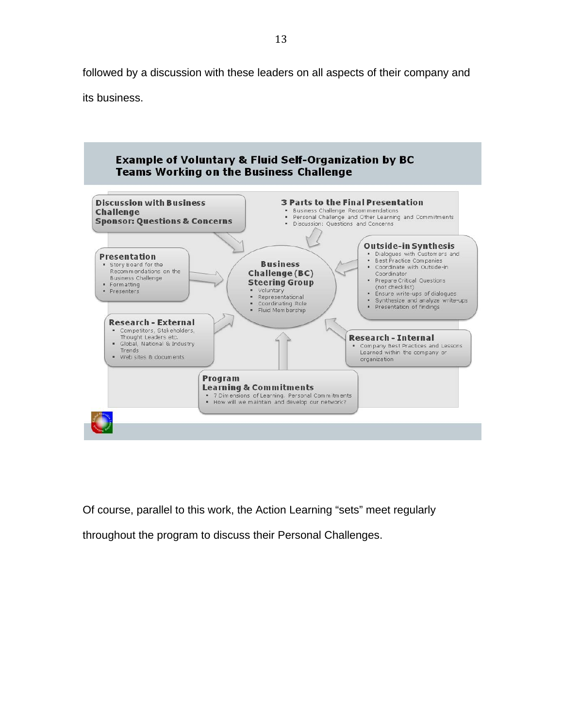followed by a discussion with these leaders on all aspects of their company and

its business.



Of course, parallel to this work, the Action Learning "sets" meet regularly

throughout the program to discuss their Personal Challenges.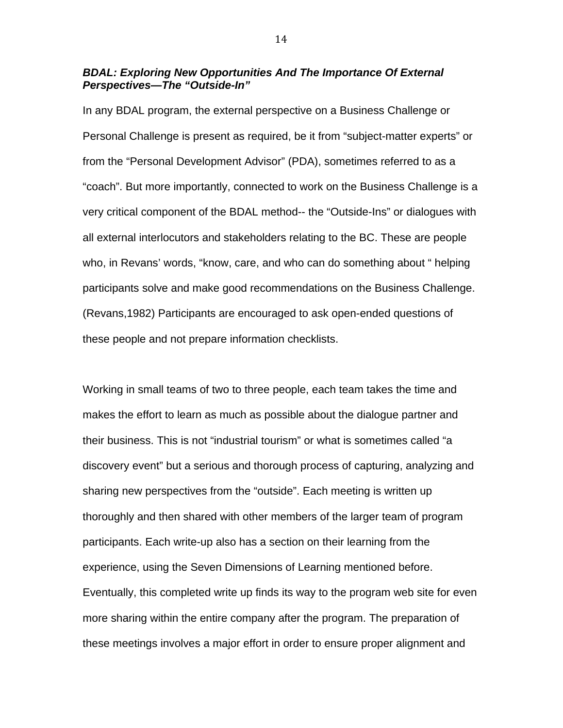# *BDAL: Exploring New Opportunities And The Importance Of External Perspectives—The "Outside-In"*

In any BDAL program, the external perspective on a Business Challenge or Personal Challenge is present as required, be it from "subject-matter experts" or from the "Personal Development Advisor" (PDA), sometimes referred to as a "coach". But more importantly, connected to work on the Business Challenge is a very critical component of the BDAL method-- the "Outside-Ins" or dialogues with all external interlocutors and stakeholders relating to the BC. These are people who, in Revans' words, "know, care, and who can do something about " helping participants solve and make good recommendations on the Business Challenge. (Revans,1982) Participants are encouraged to ask open-ended questions of these people and not prepare information checklists.

Working in small teams of two to three people, each team takes the time and makes the effort to learn as much as possible about the dialogue partner and their business. This is not "industrial tourism" or what is sometimes called "a discovery event" but a serious and thorough process of capturing, analyzing and sharing new perspectives from the "outside". Each meeting is written up thoroughly and then shared with other members of the larger team of program participants. Each write-up also has a section on their learning from the experience, using the Seven Dimensions of Learning mentioned before. Eventually, this completed write up finds its way to the program web site for even more sharing within the entire company after the program. The preparation of these meetings involves a major effort in order to ensure proper alignment and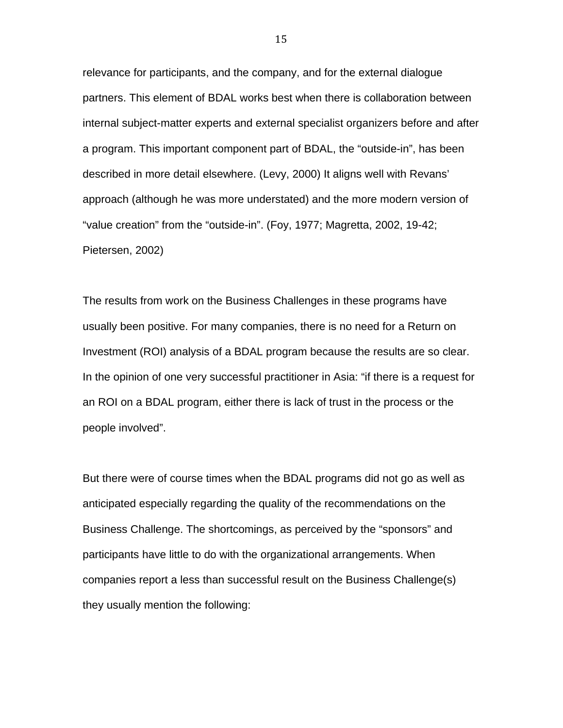relevance for participants, and the company, and for the external dialogue partners. This element of BDAL works best when there is collaboration between internal subject-matter experts and external specialist organizers before and after a program. This important component part of BDAL, the "outside-in", has been described in more detail elsewhere. (Levy, 2000) It aligns well with Revans' approach (although he was more understated) and the more modern version of "value creation" from the "outside-in". (Foy, 1977; Magretta, 2002, 19-42; Pietersen, 2002)

The results from work on the Business Challenges in these programs have usually been positive. For many companies, there is no need for a Return on Investment (ROI) analysis of a BDAL program because the results are so clear. In the opinion of one very successful practitioner in Asia: "if there is a request for an ROI on a BDAL program, either there is lack of trust in the process or the people involved".

But there were of course times when the BDAL programs did not go as well as anticipated especially regarding the quality of the recommendations on the Business Challenge. The shortcomings, as perceived by the "sponsors" and participants have little to do with the organizational arrangements. When companies report a less than successful result on the Business Challenge(s) they usually mention the following: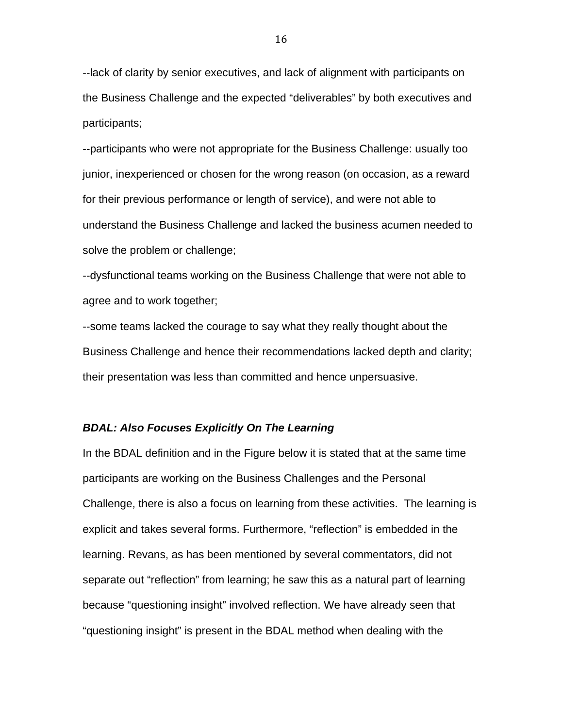--lack of clarity by senior executives, and lack of alignment with participants on the Business Challenge and the expected "deliverables" by both executives and participants;

--participants who were not appropriate for the Business Challenge: usually too junior, inexperienced or chosen for the wrong reason (on occasion, as a reward for their previous performance or length of service), and were not able to understand the Business Challenge and lacked the business acumen needed to solve the problem or challenge;

--dysfunctional teams working on the Business Challenge that were not able to agree and to work together;

--some teams lacked the courage to say what they really thought about the Business Challenge and hence their recommendations lacked depth and clarity; their presentation was less than committed and hence unpersuasive.

#### *BDAL: Also Focuses Explicitly On The Learning*

In the BDAL definition and in the Figure below it is stated that at the same time participants are working on the Business Challenges and the Personal Challenge, there is also a focus on learning from these activities. The learning is explicit and takes several forms. Furthermore, "reflection" is embedded in the learning. Revans, as has been mentioned by several commentators, did not separate out "reflection" from learning; he saw this as a natural part of learning because "questioning insight" involved reflection. We have already seen that "questioning insight" is present in the BDAL method when dealing with the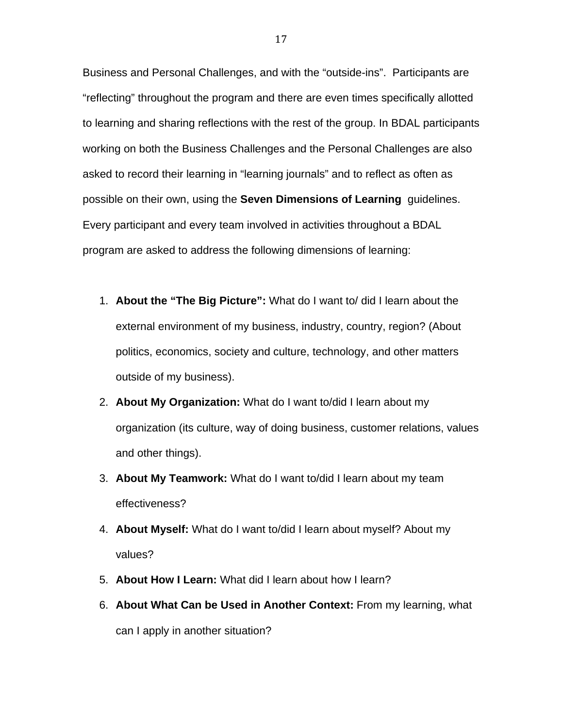Business and Personal Challenges, and with the "outside-ins". Participants are "reflecting" throughout the program and there are even times specifically allotted to learning and sharing reflections with the rest of the group. In BDAL participants working on both the Business Challenges and the Personal Challenges are also asked to record their learning in "learning journals" and to reflect as often as possible on their own, using the **Seven Dimensions of Learning** guidelines. Every participant and every team involved in activities throughout a BDAL program are asked to address the following dimensions of learning:

- 1. **About the "The Big Picture":** What do I want to/ did I learn about the external environment of my business, industry, country, region? (About politics, economics, society and culture, technology, and other matters outside of my business).
- 2. **About My Organization:** What do I want to/did I learn about my organization (its culture, way of doing business, customer relations, values and other things).
- 3. **About My Teamwork:** What do I want to/did I learn about my team effectiveness?
- 4. **About Myself:** What do I want to/did I learn about myself? About my values?
- 5. **About How I Learn:** What did I learn about how I learn?
- 6. **About What Can be Used in Another Context:** From my learning, what can I apply in another situation?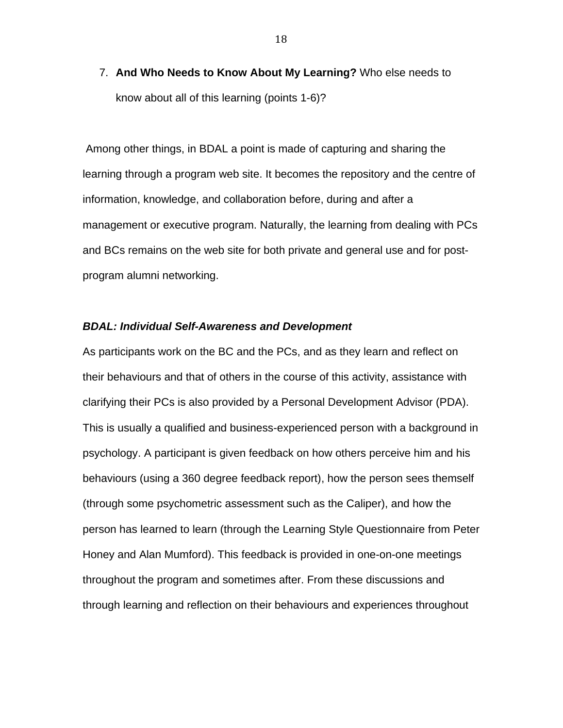7. **And Who Needs to Know About My Learning?** Who else needs to know about all of this learning (points 1-6)?

 Among other things, in BDAL a point is made of capturing and sharing the learning through a program web site. It becomes the repository and the centre of information, knowledge, and collaboration before, during and after a management or executive program. Naturally, the learning from dealing with PCs and BCs remains on the web site for both private and general use and for postprogram alumni networking.

#### *BDAL: Individual Self-Awareness and Development*

As participants work on the BC and the PCs, and as they learn and reflect on their behaviours and that of others in the course of this activity, assistance with clarifying their PCs is also provided by a Personal Development Advisor (PDA). This is usually a qualified and business-experienced person with a background in psychology. A participant is given feedback on how others perceive him and his behaviours (using a 360 degree feedback report), how the person sees themself (through some psychometric assessment such as the Caliper), and how the person has learned to learn (through the Learning Style Questionnaire from Peter Honey and Alan Mumford). This feedback is provided in one-on-one meetings throughout the program and sometimes after. From these discussions and through learning and reflection on their behaviours and experiences throughout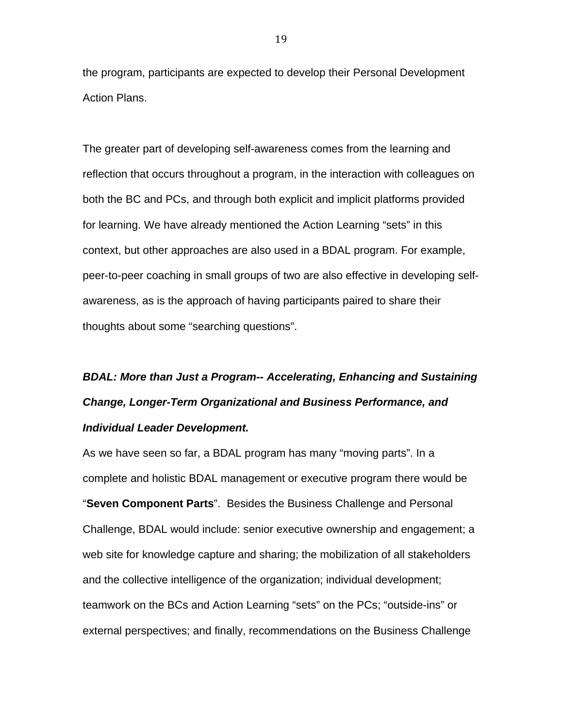the program, participants are expected to develop their Personal Development Action Plans.

The greater part of developing self-awareness comes from the learning and reflection that occurs throughout a program, in the interaction with colleagues on both the BC and PCs, and through both explicit and implicit platforms provided for learning. We have already mentioned the Action Learning "sets" in this context, but other approaches are also used in a BDAL program. For example, peer-to-peer coaching in small groups of two are also effective in developing selfawareness, as is the approach of having participants paired to share their thoughts about some "searching questions".

# *BDAL: More than Just a Program-- Accelerating, Enhancing and Sustaining Change, Longer-Term Organizational and Business Performance, and Individual Leader Development.*

As we have seen so far, a BDAL program has many "moving parts". In a complete and holistic BDAL management or executive program there would be "**Seven Component Parts**". Besides the Business Challenge and Personal Challenge, BDAL would include: senior executive ownership and engagement; a web site for knowledge capture and sharing; the mobilization of all stakeholders and the collective intelligence of the organization; individual development; teamwork on the BCs and Action Learning "sets" on the PCs; "outside-ins" or external perspectives; and finally, recommendations on the Business Challenge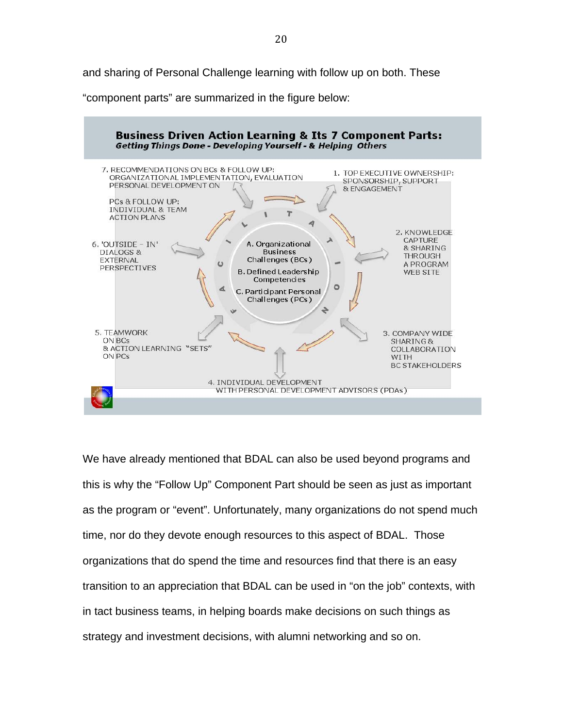and sharing of Personal Challenge learning with follow up on both. These

"component parts" are summarized in the figure below:



We have already mentioned that BDAL can also be used beyond programs and this is why the "Follow Up" Component Part should be seen as just as important as the program or "event". Unfortunately, many organizations do not spend much time, nor do they devote enough resources to this aspect of BDAL. Those organizations that do spend the time and resources find that there is an easy transition to an appreciation that BDAL can be used in "on the job" contexts, with in tact business teams, in helping boards make decisions on such things as strategy and investment decisions, with alumni networking and so on.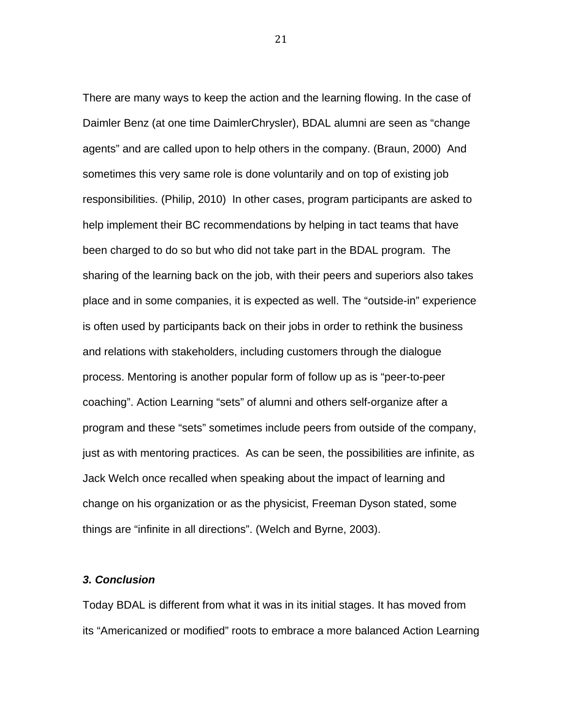There are many ways to keep the action and the learning flowing. In the case of Daimler Benz (at one time DaimlerChrysler), BDAL alumni are seen as "change agents" and are called upon to help others in the company. (Braun, 2000) And sometimes this very same role is done voluntarily and on top of existing job responsibilities. (Philip, 2010) In other cases, program participants are asked to help implement their BC recommendations by helping in tact teams that have been charged to do so but who did not take part in the BDAL program. The sharing of the learning back on the job, with their peers and superiors also takes place and in some companies, it is expected as well. The "outside-in" experience is often used by participants back on their jobs in order to rethink the business and relations with stakeholders, including customers through the dialogue process. Mentoring is another popular form of follow up as is "peer-to-peer coaching". Action Learning "sets" of alumni and others self-organize after a program and these "sets" sometimes include peers from outside of the company, just as with mentoring practices. As can be seen, the possibilities are infinite, as Jack Welch once recalled when speaking about the impact of learning and change on his organization or as the physicist, Freeman Dyson stated, some things are "infinite in all directions". (Welch and Byrne, 2003).

#### *3. Conclusion*

Today BDAL is different from what it was in its initial stages. It has moved from its "Americanized or modified" roots to embrace a more balanced Action Learning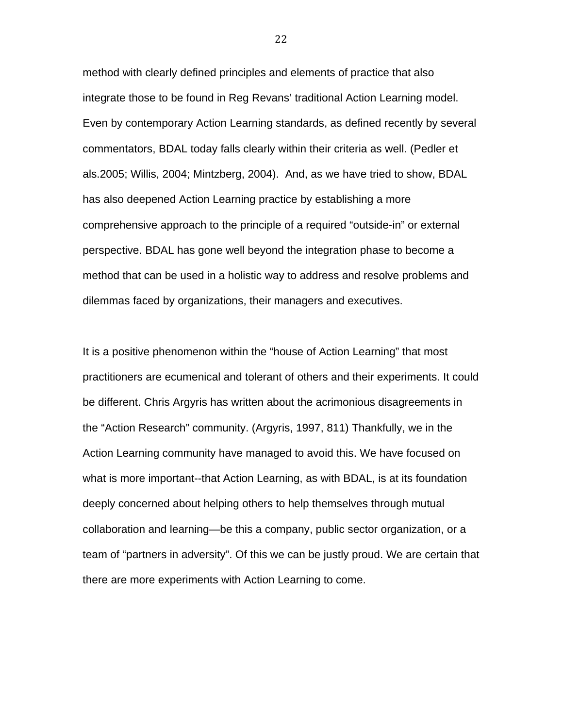method with clearly defined principles and elements of practice that also integrate those to be found in Reg Revans' traditional Action Learning model. Even by contemporary Action Learning standards, as defined recently by several commentators, BDAL today falls clearly within their criteria as well. (Pedler et als.2005; Willis, 2004; Mintzberg, 2004). And, as we have tried to show, BDAL has also deepened Action Learning practice by establishing a more comprehensive approach to the principle of a required "outside-in" or external perspective. BDAL has gone well beyond the integration phase to become a method that can be used in a holistic way to address and resolve problems and dilemmas faced by organizations, their managers and executives.

It is a positive phenomenon within the "house of Action Learning" that most practitioners are ecumenical and tolerant of others and their experiments. It could be different. Chris Argyris has written about the acrimonious disagreements in the "Action Research" community. (Argyris, 1997, 811) Thankfully, we in the Action Learning community have managed to avoid this. We have focused on what is more important--that Action Learning, as with BDAL, is at its foundation deeply concerned about helping others to help themselves through mutual collaboration and learning—be this a company, public sector organization, or a team of "partners in adversity". Of this we can be justly proud. We are certain that there are more experiments with Action Learning to come.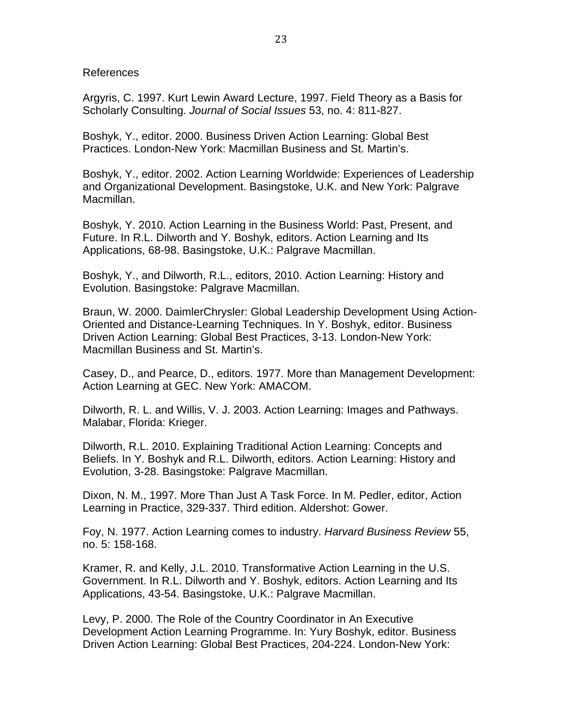References

Argyris, C. 1997. Kurt Lewin Award Lecture, 1997. Field Theory as a Basis for Scholarly Consulting. *Journal of Social Issues* 53, no. 4: 811-827.

Boshyk, Y., editor. 2000. Business Driven Action Learning: Global Best Practices. London-New York: Macmillan Business and St. Martin's.

Boshyk, Y., editor. 2002. Action Learning Worldwide: Experiences of Leadership and Organizational Development. Basingstoke, U.K. and New York: Palgrave Macmillan.

Boshyk, Y. 2010. Action Learning in the Business World: Past, Present, and Future. In R.L. Dilworth and Y. Boshyk, editors. Action Learning and Its Applications, 68-98. Basingstoke, U.K.: Palgrave Macmillan.

Boshyk, Y., and Dilworth, R.L., editors, 2010. Action Learning: History and Evolution. Basingstoke: Palgrave Macmillan.

Braun, W. 2000. DaimlerChrysler: Global Leadership Development Using Action-Oriented and Distance-Learning Techniques. In Y. Boshyk, editor. Business Driven Action Learning: Global Best Practices, 3-13. London-New York: Macmillan Business and St. Martin's.

Casey, D., and Pearce, D., editors. 1977. More than Management Development: Action Learning at GEC. New York: AMACOM.

Dilworth, R. L. and Willis, V. J. 2003. Action Learning: Images and Pathways. Malabar, Florida: Krieger.

Dilworth, R.L. 2010. Explaining Traditional Action Learning: Concepts and Beliefs. In Y. Boshyk and R.L. Dilworth, editors. Action Learning: History and Evolution, 3-28. Basingstoke: Palgrave Macmillan.

Dixon, N. M., 1997. More Than Just A Task Force. In M. Pedler, editor, Action Learning in Practice, 329-337. Third edition. Aldershot: Gower.

Foy, N. 1977. Action Learning comes to industry. *Harvard Business Review* 55, no. 5: 158-168.

Kramer, R. and Kelly, J.L. 2010. Transformative Action Learning in the U.S. Government. In R.L. Dilworth and Y. Boshyk, editors. Action Learning and Its Applications, 43-54. Basingstoke, U.K.: Palgrave Macmillan.

Levy, P. 2000. The Role of the Country Coordinator in An Executive Development Action Learning Programme. In: Yury Boshyk, editor. Business Driven Action Learning: Global Best Practices, 204-224. London-New York: